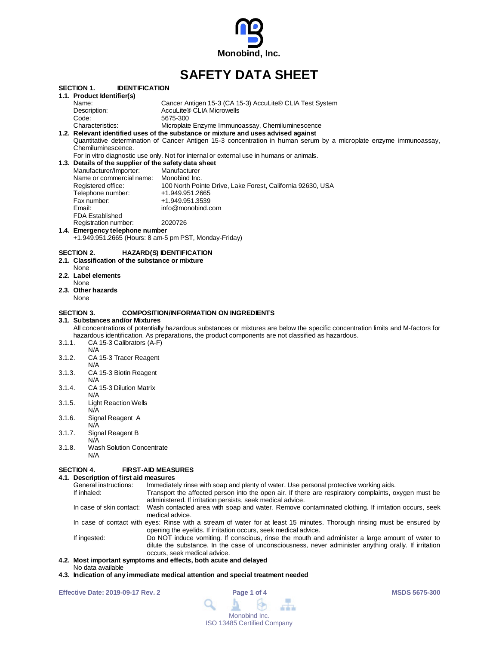

# **SAFETY DATA SHEET**

| SECTION 1.        | <b>IDENTIFICATION</b>                                                                                                |                                                                                                                                  |  |
|-------------------|----------------------------------------------------------------------------------------------------------------------|----------------------------------------------------------------------------------------------------------------------------------|--|
|                   | 1.1. Product Identifier(s)                                                                                           |                                                                                                                                  |  |
|                   | Name:                                                                                                                | Cancer Antigen 15-3 (CA 15-3) AccuLite® CLIA Test System                                                                         |  |
|                   | Description:                                                                                                         | AccuLite® CLIA Microwells                                                                                                        |  |
|                   | Code:                                                                                                                | 5675-300                                                                                                                         |  |
|                   | Characteristics:                                                                                                     | Microplate Enzyme Immunoassay, Chemiluminescence                                                                                 |  |
|                   |                                                                                                                      | 1.2. Relevant identified uses of the substance or mixture and uses advised against                                               |  |
|                   |                                                                                                                      | Quantitative determination of Cancer Antigen 15-3 concentration in human serum by a microplate enzyme immunoassay,               |  |
|                   | Chemiluminescence.                                                                                                   | For in vitro diagnostic use only. Not for internal or external use in humans or animals.                                         |  |
|                   |                                                                                                                      |                                                                                                                                  |  |
|                   | 1.3. Details of the supplier of the safety data sheet                                                                |                                                                                                                                  |  |
|                   | Manufacturer/Importer:                                                                                               | Manufacturer                                                                                                                     |  |
|                   | Name or commercial name:                                                                                             | Monobind Inc.                                                                                                                    |  |
|                   | Registered office:                                                                                                   | 100 North Pointe Drive, Lake Forest, California 92630, USA                                                                       |  |
|                   | Telephone number:                                                                                                    | +1.949.951.2665                                                                                                                  |  |
|                   | Fax number:                                                                                                          | +1.949.951.3539                                                                                                                  |  |
|                   | Email:                                                                                                               | info@monobind.com                                                                                                                |  |
|                   | <b>FDA Established</b>                                                                                               |                                                                                                                                  |  |
|                   | Registration number:                                                                                                 | 2020726                                                                                                                          |  |
|                   | 1.4. Emergency telephone number                                                                                      |                                                                                                                                  |  |
|                   |                                                                                                                      | +1.949.951.2665 (Hours: 8 am-5 pm PST, Monday-Friday)                                                                            |  |
|                   | 2.1. Classification of the substance or mixture<br>None<br>2.2. Label elements<br>None<br>2.3. Other hazards<br>None |                                                                                                                                  |  |
| <b>SECTION 3.</b> |                                                                                                                      | <b>COMPOSITION/INFORMATION ON INGREDIENTS</b>                                                                                    |  |
|                   | 3.1.  Substances and/or Mixtures                                                                                     |                                                                                                                                  |  |
|                   |                                                                                                                      | All concentrations of potentially hazardous substances or mixtures are below the specific concentration limits and M-factors for |  |
|                   |                                                                                                                      | hazardous identification. As preparations, the product components are not classified as hazardous.                               |  |
| 3.1.1.            | CA 15-3 Calibrators (A-F)                                                                                            |                                                                                                                                  |  |
|                   | N/A                                                                                                                  |                                                                                                                                  |  |
| 3.1.2.            | CA 15-3 Tracer Reagent                                                                                               |                                                                                                                                  |  |
|                   | N/A                                                                                                                  |                                                                                                                                  |  |
| 3.1.3.            | CA 15-3 Biotin Reagent                                                                                               |                                                                                                                                  |  |
|                   | N/A                                                                                                                  |                                                                                                                                  |  |
| 3.1.4.            | CA 15-3 Dilution Matrix                                                                                              |                                                                                                                                  |  |
|                   | N/A                                                                                                                  |                                                                                                                                  |  |
| 3.1.5.            | <b>Light Reaction Wells</b>                                                                                          |                                                                                                                                  |  |
|                   | N/A                                                                                                                  |                                                                                                                                  |  |
| 3.1.6.            | Signal Reagent A                                                                                                     |                                                                                                                                  |  |
| 3.1.7.            | N/A                                                                                                                  |                                                                                                                                  |  |
|                   | Signal Reagent B                                                                                                     |                                                                                                                                  |  |
| 3.1.8.            | N/A<br><b>Wash Solution Concentrate</b>                                                                              |                                                                                                                                  |  |
|                   | N/A                                                                                                                  |                                                                                                                                  |  |
|                   |                                                                                                                      |                                                                                                                                  |  |
| SECTION 4.        | <b>FIRST-AID MEASURES</b>                                                                                            |                                                                                                                                  |  |
|                   |                                                                                                                      |                                                                                                                                  |  |

**4.1. Description of first aid measures** General instructions: Immediately rinse with soap and plenty of water. Use personal protective working aids.<br>If inhaled: Transport the affected person into the open air. If there are respiratory complaints, o Transport the affected person into the open air. If there are respiratory complaints, oxygen must be administered. If irritation persists, seek medical advice. In case of skin contact: Wash contacted area with soap and water. Remove contaminated clothing. If irritation occurs, seek medical advice. In case of contact with eyes: Rinse with a stream of water for at least 15 minutes. Thorough rinsing must be ensured by opening the eyelids. If irritation occurs, seek medical advice. If ingested: Do NOT induce vomiting. If conscious, rinse the mouth and administer a large amount of water to dilute the substance. In the case of unconsciousness, never administer anything orally. If irritation occurs, seek medical advice. **4.2. Most important symptoms and effects, both acute and delayed**

- No data available
- **4.3. Indication of any immediate medical attention and special treatment needed**

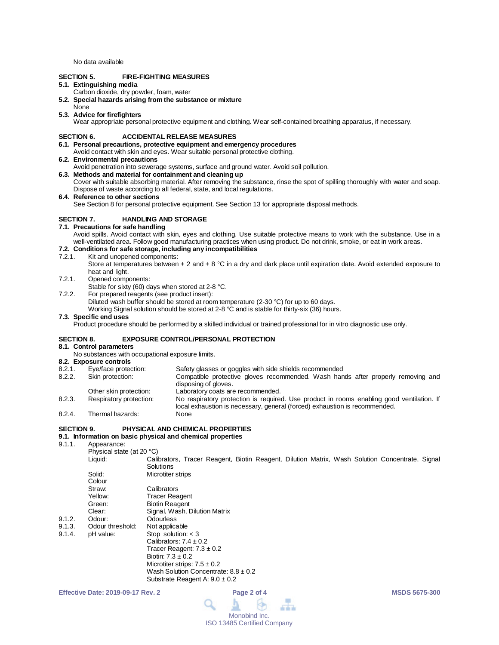No data available

# **SECTION 5. FIRE-FIGHTING MEASURES**

# **5.1. Extinguishing media**

- Carbon dioxide, dry powder, foam, water
- **5.2. Special hazards arising from the substance or mixture**
- None

# **5.3. Advice for firefighters**

Wear appropriate personal protective equipment and clothing. Wear self-contained breathing apparatus, if necessary.

# **SECTION 6. ACCIDENTAL RELEASE MEASURES**

- **6.1. Personal precautions, protective equipment and emergency procedures** Avoid contact with skin and eyes. Wear suitable personal protective clothing.
- **6.2. Environmental precautions**
- Avoid penetration into sewerage systems, surface and ground water. Avoid soil pollution.

## **6.3. Methods and material for containment and cleaning up**

Cover with suitable absorbing material. After removing the substance, rinse the spot of spilling thoroughly with water and soap. Dispose of waste according to all federal, state, and local regulations.

#### **6.4. Reference to other sections**

See Section 8 for personal protective equipment. See Section 13 for appropriate disposal methods.

# **SECTION 7. HANDLING AND STORAGE**

# **7.1. Precautions for safe handling**

Avoid spills. Avoid contact with skin, eyes and clothing. Use suitable protective means to work with the substance. Use in a well-ventilated area. Follow good manufacturing practices when using product. Do not drink, smoke, or eat in work areas.

# **7.2. Conditions for safe storage, including any incompatibilities**

- Kit and unopened components:
	- Store at temperatures between + 2 and + 8 °C in a dry and dark place until expiration date. Avoid extended exposure to heat and light.
- 7.2.1. Opened components:
	- Stable for sixty (60) days when stored at 2-8 °C.
- 7.2.2. For prepared reagents (see product insert):
	- Diluted wash buffer should be stored at room temperature (2-30 °C) for up to 60 days.

Working Signal solution should be stored at 2-8 °C and is stable for thirty-six (36) hours.

#### **7.3. Specific end uses**

Product procedure should be performed by a skilled individual or trained professional for in vitro diagnostic use only.

# **SECTION 8. EXPOSURE CONTROL/PERSONAL PROTECTION**

# **8.1. Control parameters**

- No substances with occupational exposure limits.
- **8.2. Exposure controls**

| 8.2.1. | Eye/face protection:    | Safety glasses or goggles with side shields recommended                                                                                                                 |
|--------|-------------------------|-------------------------------------------------------------------------------------------------------------------------------------------------------------------------|
| 8.2.2. | Skin protection:        | Compatible protective gloves recommended. Wash hands after properly removing and<br>disposing of gloves.                                                                |
|        | Other skin protection:  | Laboratory coats are recommended.                                                                                                                                       |
| 8.2.3. | Respiratory protection: | No respiratory protection is required. Use product in rooms enabling good ventilation. If<br>local exhaustion is necessary, general (forced) exhaustion is recommended. |
| 0.21   | Thormal hozardo:        | <b>Nono</b>                                                                                                                                                             |

8.2.4. Thermal hazards: None

#### **SECTION 9. PHYSICAL AND CHEMICAL PROPERTIES**

#### **9.1. Information on basic physical and chemical properties**

9.1.1. Appearance:

|        | Physical state (at 20 °C) |                                          |  |  |  |  |  |  |  |  |                                                                                                 |  |
|--------|---------------------------|------------------------------------------|--|--|--|--|--|--|--|--|-------------------------------------------------------------------------------------------------|--|
|        | Liquid:                   | Solutions                                |  |  |  |  |  |  |  |  | Calibrators, Tracer Reagent, Biotin Reagent, Dilution Matrix, Wash Solution Concentrate, Signal |  |
|        | Solid:                    | Microtiter strips                        |  |  |  |  |  |  |  |  |                                                                                                 |  |
|        | Colour                    |                                          |  |  |  |  |  |  |  |  |                                                                                                 |  |
|        | Straw:                    | Calibrators                              |  |  |  |  |  |  |  |  |                                                                                                 |  |
|        | Yellow:                   | <b>Tracer Reagent</b>                    |  |  |  |  |  |  |  |  |                                                                                                 |  |
|        | Green:                    | <b>Biotin Reagent</b>                    |  |  |  |  |  |  |  |  |                                                                                                 |  |
|        | Clear:                    | Signal, Wash, Dilution Matrix            |  |  |  |  |  |  |  |  |                                                                                                 |  |
| 9.1.2. | Odour:                    | Odourless                                |  |  |  |  |  |  |  |  |                                                                                                 |  |
| 9.1.3. | Odour threshold:          | Not applicable                           |  |  |  |  |  |  |  |  |                                                                                                 |  |
| 9.1.4. | pH value:                 | Stop solution: $<$ 3                     |  |  |  |  |  |  |  |  |                                                                                                 |  |
|        |                           | Calibrators: $7.4 \pm 0.2$               |  |  |  |  |  |  |  |  |                                                                                                 |  |
|        |                           | Tracer Reagent: $7.3 \pm 0.2$            |  |  |  |  |  |  |  |  |                                                                                                 |  |
|        |                           | Biotin: $7.3 \pm 0.2$                    |  |  |  |  |  |  |  |  |                                                                                                 |  |
|        |                           | Microtiter strips: $7.5 \pm 0.2$         |  |  |  |  |  |  |  |  |                                                                                                 |  |
|        |                           | Wash Solution Concentrate: $8.8 \pm 0.2$ |  |  |  |  |  |  |  |  |                                                                                                 |  |





Substrate Reagent A: 9.0 ± 0.2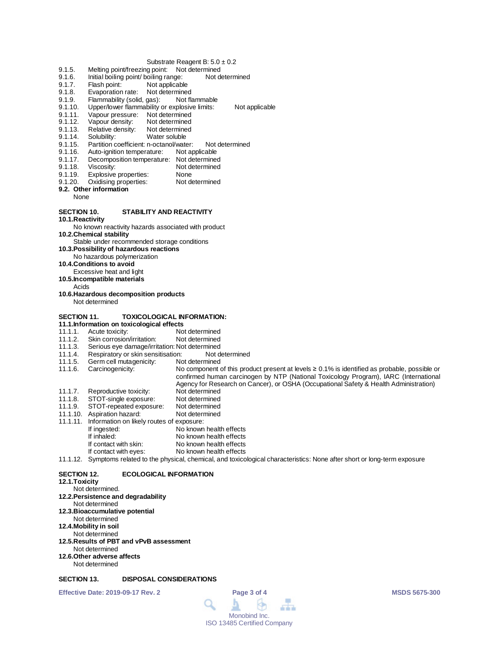#### Substrate Reagent B:  $5.0 \pm 0.2$

- 
- 9.1.5. Melting point/freezing point: Not determined<br>9.1.6. Initial boiling point/ boiling range: Not determined 9.1.6. Initial boiling point/ boiling range:<br>9.1.7. Flash point: Not applicable
- Not applicable
- 
- 9.1.8. Evaporation rate: Not determined<br>9.1.9. Flammability (solid. gas): Not flammable 9.1.9. Flammability (solid, gas):<br>9.1.10. Upper/lower flammability of
- 9.1.10. Upper/lower flammability or explosive limits: Not applicable<br>9.1.11. Vapour pressure: Not determined
- 9.1.11. Vapour pressure: Not determined<br>9.1.12. Vapour density: Not determined
- 9.1.12. Vapour density: Not determined<br>9.1.13. Relative density: Not determined
- 9.1.13. Relative density:<br>9.1.14. Solubility:
- 
- 9.1.14. Solubility: Water soluble<br>9.1.15. Partition coefficient: n-octanol/wate 9.1.15. Partition coefficient: n-octanol/water: Not determined<br>9.1.16. Auto-ignition temperature: Not applicable
- 9.1.16. Auto-ignition temperature:<br>9.1.17. Decomposition temperatur
- 9.1.17. Decomposition temperature: Not determined<br>9.1.18. Viscosity: Not determined
- 
- 9.1.18. Viscosity: Not determined<br>9.1.19. Explosive properties: None
- 9.1.19. Explosive properties: None<br>9.1.20. Oxidising properties: Not determined Oxidising properties:
- **9.2. Other information**
	- None

# **SECTION 10. STABILITY AND REACTIVITY**

**10.1.Reactivity**

No known reactivity hazards associated with product

**10.2.Chemical stability**

Stable under recommended storage conditions

- **10.3.Possibility of hazardous reactions**
- No hazardous polymerization
- **10.4.Conditions to avoid**
- Excessive heat and light
- **10.5.Incompatible materials**
	- Acids
- **10.6.Hazardous decomposition products** Not determined
- **SECTION 11. TOXICOLOGICAL INFORMATION:**
- 
- **11.1.Information on toxicological effects** 11.1.1. Acute toxicity:<br>11.1.2. Skin corrosion/irritation: Not determined
- 11.1.2. Skin corrosion/irritation:<br>11.1.3. Serious eye damage/irri
- 
- 11.1.3. Serious eye damage/irritation: Not determined<br>11.1.4. Respiratory or skin sensitisation: Not determined 11.1.4. Respiratory or skin sensitisation: Not d<br>11.1.5. Germ cell mutagenicity: Not determined
- Germ cell mutagenicity:

11.1.6. Carcinogenicity: No component of this product present at levels ≥ 0.1% is identified as probable, possible or confirmed human carcinogen by NTP (National Toxicology Program), IARC (International Agency for Research on Cancer), or OSHA (Occupational Safety & Health Administration)

- 11.1.7. Reproductive toxicity: Not determined<br>11.1.8. STOT-single exposure: Not determined
- 11.1.8. STOT-single exposure: Not determined<br>11.1.9. STOT-repeated exposure: Not determined
- STOT-repeated exposure: Not determined<br>Aspiration hazard: Not determined 11.1.10. Aspiration hazard:
- 
- 11.1.11. Information on likely routes of exposure: No known health effects
- 
- If inhaled: No known health effects<br>If contact with skin: No known health effects
- If contact with skin: No known health effects<br>If contact with eyes: No known health effects No known health effects
- 11.1.12. Symptoms related to the physical, chemical, and toxicological characteristics: None after short or long-term exposure

## **SECTION 12. ECOLOGICAL INFORMATION**

#### **12.1.Toxicity**

Not determined. **12.2.Persistence and degradability** Not determined **12.3.Bioaccumulative potential** Not determined **12.4.Mobility in soil** Not determined **12.5.Results of PBT and vPvB assessment** Not determined **12.6.Other adverse affects** Not determined

# **SECTION 13. DISPOSAL CONSIDERATIONS**